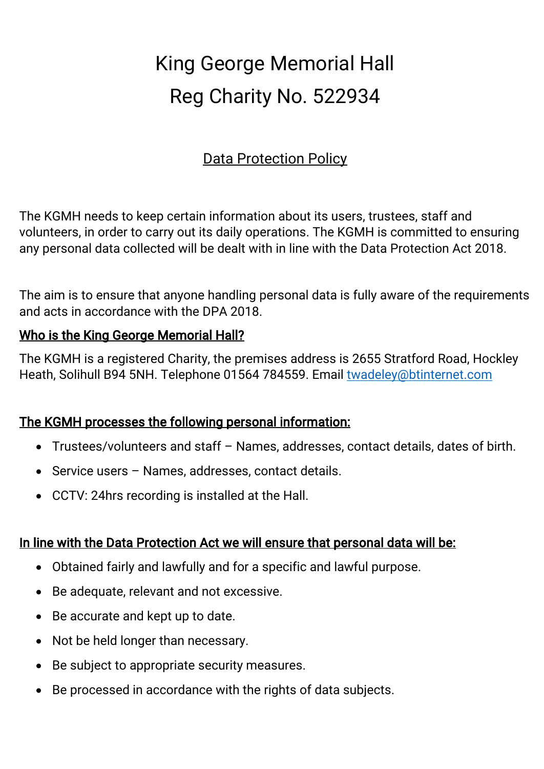# King George Memorial Hall Reg Charity No. 522934

# Data Protection Policy

The KGMH needs to keep certain information about its users, trustees, staff and volunteers, in order to carry out its daily operations. The KGMH is committed to ensuring any personal data collected will be dealt with in line with the Data Protection Act 2018.

The aim is to ensure that anyone handling personal data is fully aware of the requirements and acts in accordance with the DPA 2018.

### Who is the King George Memorial Hall?

The KGMH is a registered Charity, the premises address is 2655 Stratford Road, Hockley Heath, Solihull B94 5NH. Telephone 01564 784559. Email twadeley@btinternet.com

## The KGMH processes the following personal information:

- Trustees/volunteers and staff Names, addresses, contact details, dates of birth.
- Service users Names, addresses, contact details.
- CCTV: 24hrs recording is installed at the Hall.

#### In line with the Data Protection Act we will ensure that personal data will be:

- Obtained fairly and lawfully and for a specific and lawful purpose.
- Be adequate, relevant and not excessive.
- Be accurate and kept up to date.
- Not be held longer than necessary.
- Be subject to appropriate security measures.
- Be processed in accordance with the rights of data subjects.